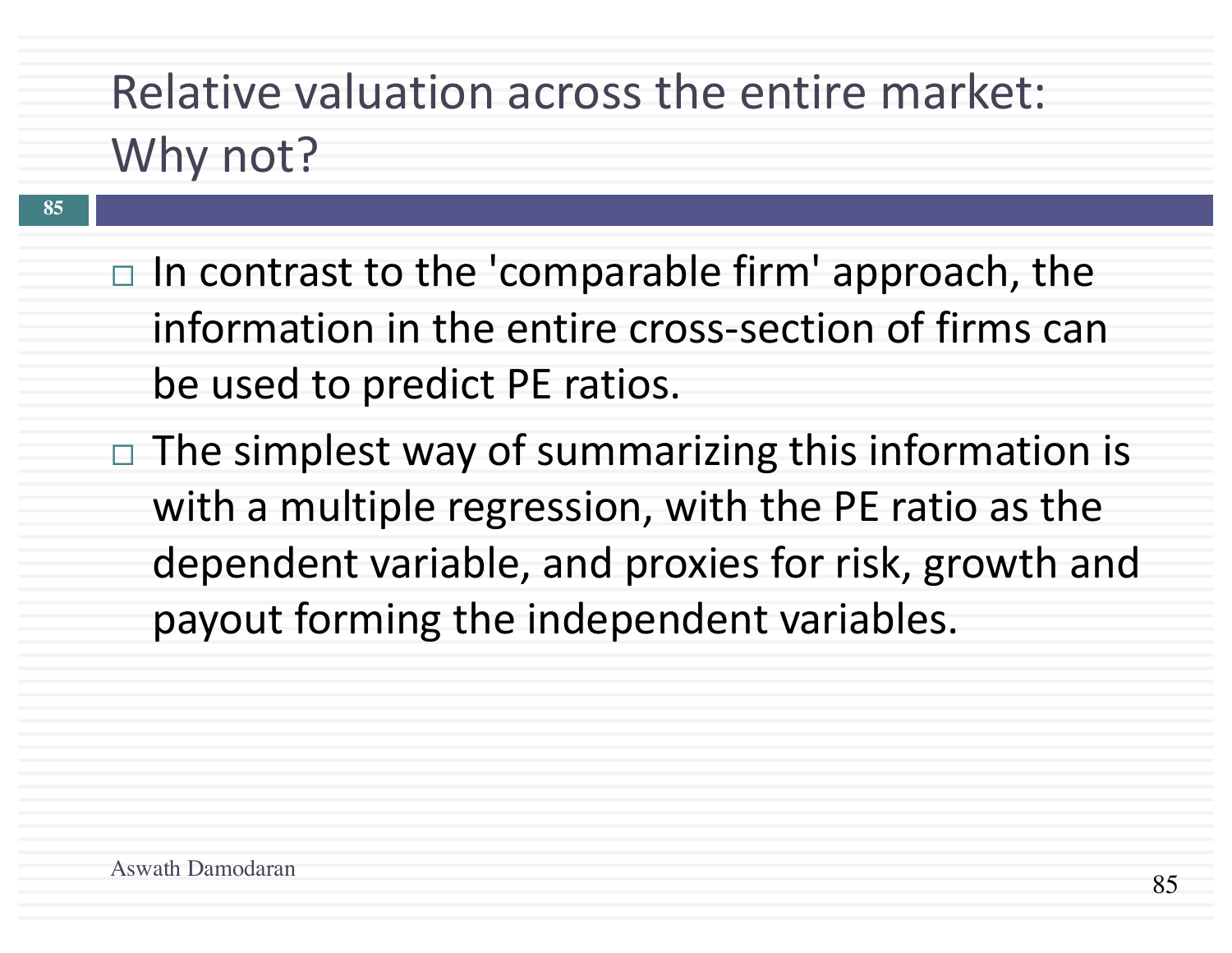# Relative valuation across the entire market: Why not?

- **85**
- $\Box$  In contrast to the 'comparable firm' approach, the information in the entire cross-section of firms can be used to predict PE ratios.
- $\Box$  The simplest way of summarizing this information is with a multiple regression, with the PE ratio as the dependent variable, and proxies for risk, growth and payout forming the independent variables.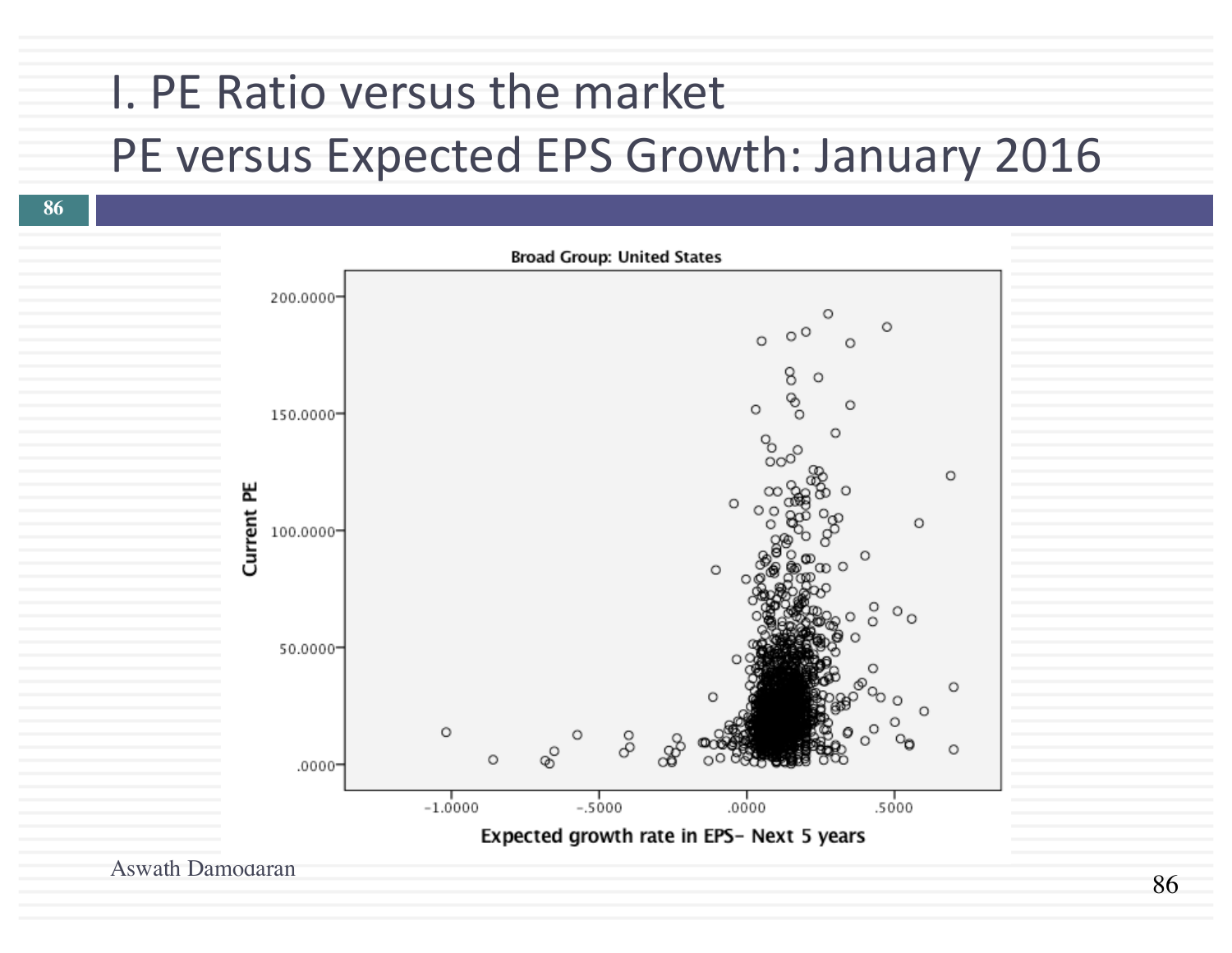#### I. PE Ratio versus the market

### PE versus Expected EPS Growth: January 2016

**86**



86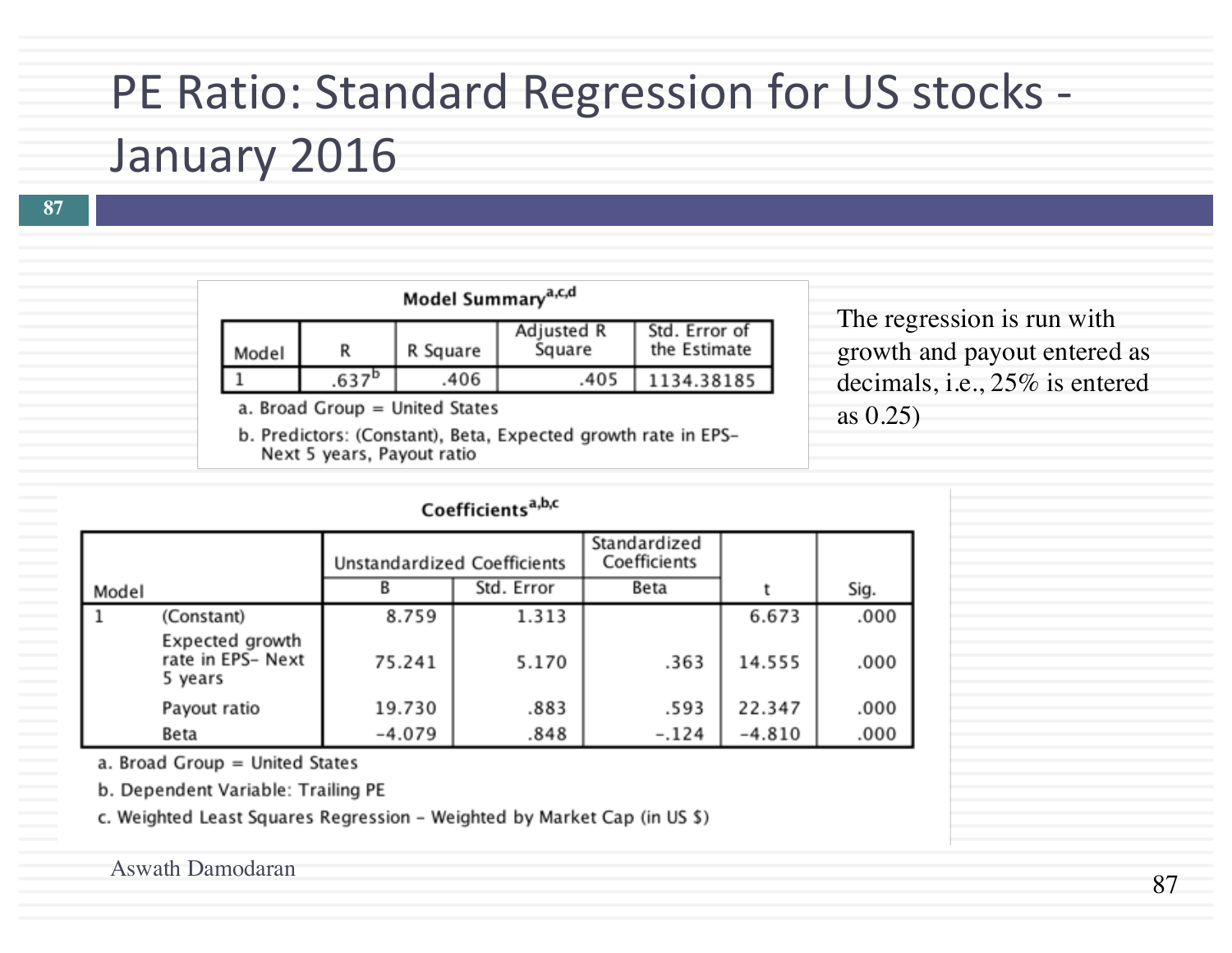## PE Ratio: Standard Regression for US stocks -

#### January 2016

| Model Summary <sup>a,c,d</sup> |                                |          |                      |                               |  |  |  |
|--------------------------------|--------------------------------|----------|----------------------|-------------------------------|--|--|--|
| Model                          |                                | R Square | Adjusted R<br>Square | Std. Error of<br>the Estimate |  |  |  |
|                                |                                | .406     | .405                 | 1134.38185                    |  |  |  |
|                                | a. Broad Group = United States |          |                      |                               |  |  |  |

b. Predictors: (Constant), Beta, Expected growth rate in EPS-

The regression is run with growth and payout entered as decimals, i.e., 25% is entered as 0.25)

|       |                                                 |                             | Coefficients <sup>a,b,c</sup> |                              |          |      |
|-------|-------------------------------------------------|-----------------------------|-------------------------------|------------------------------|----------|------|
|       |                                                 | Unstandardized Coefficients |                               | Standardized<br>Coefficients |          |      |
| Model |                                                 | в                           | Std. Error                    | Beta                         |          | Sig. |
|       | (Constant)                                      | 8.759                       | 1.313                         |                              | 6.673    | .000 |
|       | Expected growth<br>rate in EPS- Next<br>5 years | 75.241                      | 5.170                         | .363                         | 14.555   | .000 |
|       | Payout ratio                                    | 19.730                      | .883                          | .593                         | 22.347   | .000 |
|       | Beta                                            | $-4.079$                    | .848                          | $-.124$                      | $-4.810$ | .000 |

a. Broad Group = United States

b. Dependent Variable: Trailing PE

c. Weighted Least Squares Regression - Weighted by Market Cap (in US \$)

Next 5 years, Payout ratio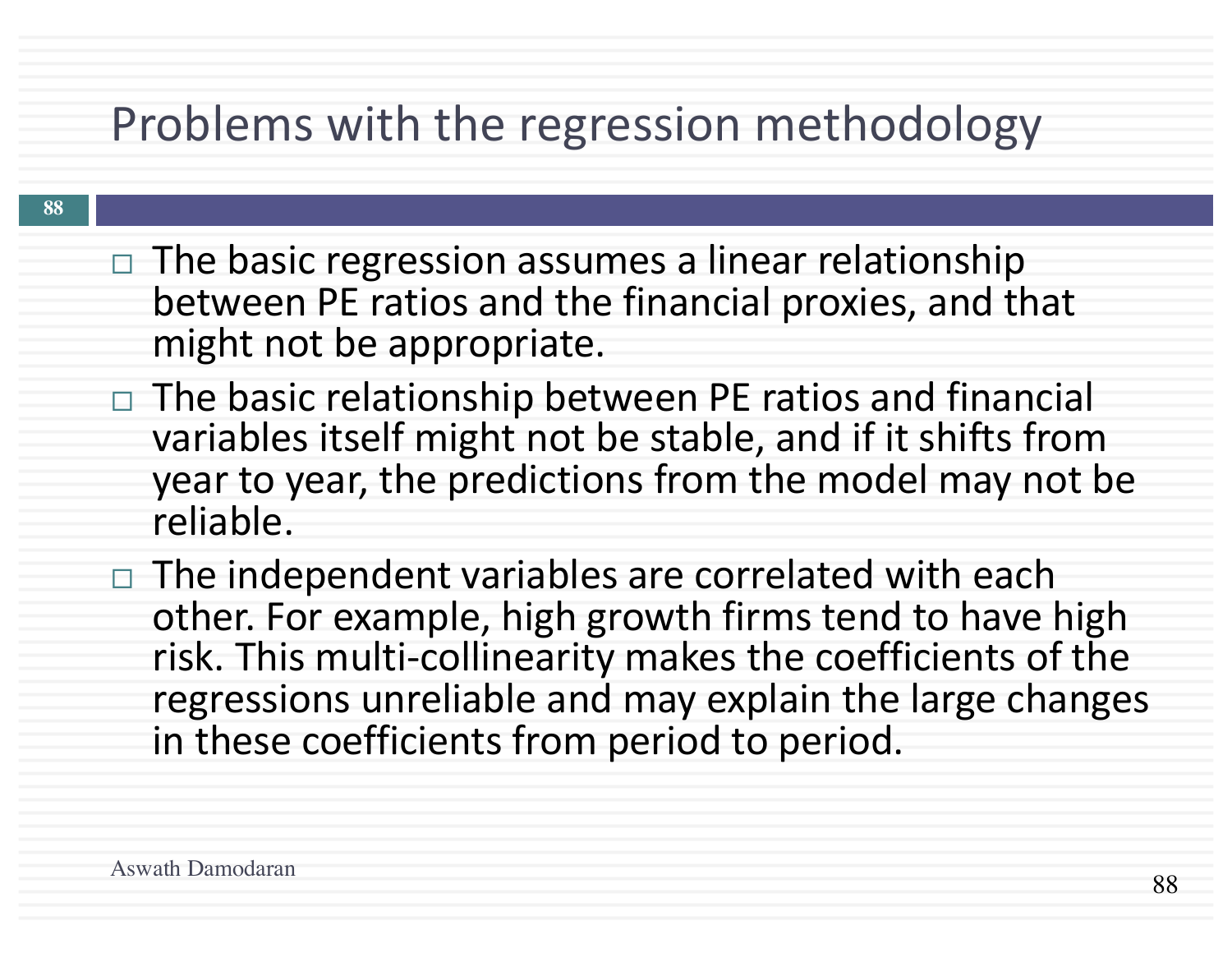### Problems with the regression methodology

- $\Box$  The basic regression assumes a linear relationship between PE ratios and the financial proxies, and that might not be appropriate.
- $\Box$  The basic relationship between PE ratios and financial variables itself might not be stable, and if it shifts from year to year, the predictions from the model may not be reliable.
- The independent variables are correlated with each other. For example, high growth firms tend to have high risk. This multi-collinearity makes the coefficients of the regressions unreliable and may explain the large changes in these coefficients from period to period.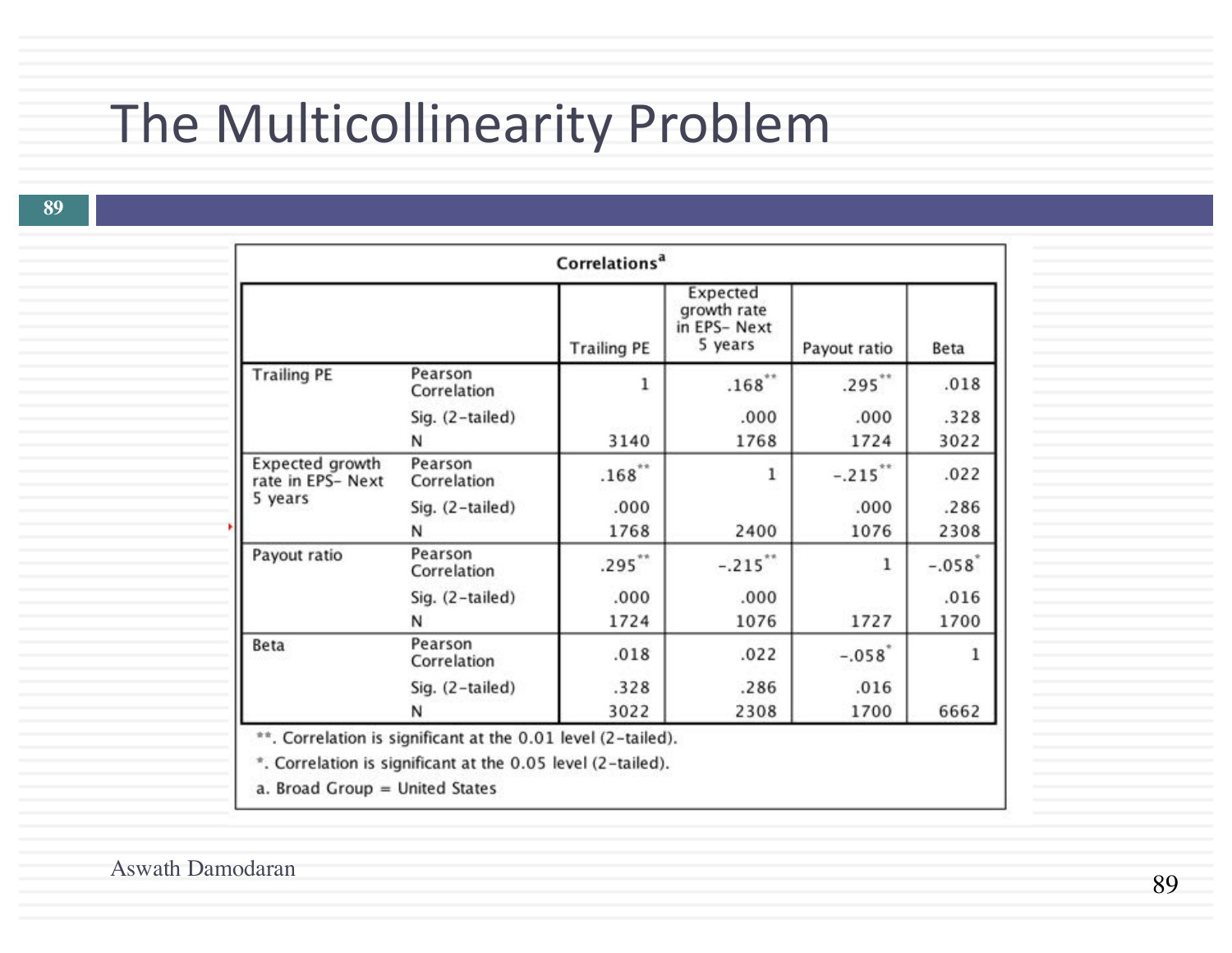# The Multicollinearity Problem

**89**

|                                      |                        | <b>Trailing PE</b> | Expected<br>growth rate<br>in EPS-Next<br>5 years | Payout ratio         | Beta    |
|--------------------------------------|------------------------|--------------------|---------------------------------------------------|----------------------|---------|
| <b>Trailing PE</b>                   | Pearson<br>Correlation | 1                  | $.168***$                                         | $.295***$            | .018    |
|                                      | Sig. (2-tailed)        |                    | .000                                              | .000                 | .328    |
|                                      | N                      | 3140               | 1768                                              | 1724                 | 3022    |
| Expected growth<br>rate in EPS- Next | Pearson<br>Correlation | $.168^{**}$        |                                                   | $-.215$ **           | .022    |
| 5 years                              | Sig. (2-tailed)        | .000               |                                                   | .000                 | .286    |
|                                      | N                      | 1768               | 2400                                              | 1076                 | 2308    |
| Payout ratio                         | Pearson<br>Correlation | $.295***$          | $-.215$ **                                        | 1                    | $-.058$ |
|                                      | Sig. (2-tailed)        | .000               | .000                                              |                      | .016    |
|                                      | N                      | 1724               | 1076                                              | 1727                 | 1700    |
| Beta                                 | Pearson<br>Correlation | .018               | .022                                              | $-.058$ <sup>*</sup> |         |
|                                      | Sig. (2-tailed)        | .328               | .286                                              | .016                 |         |
|                                      | Ν                      | 3022               | 2308                                              | 1700                 | 6662    |

\*. Correlation is significant at the 0.05 level (2-tailed).

a. Broad Group = United States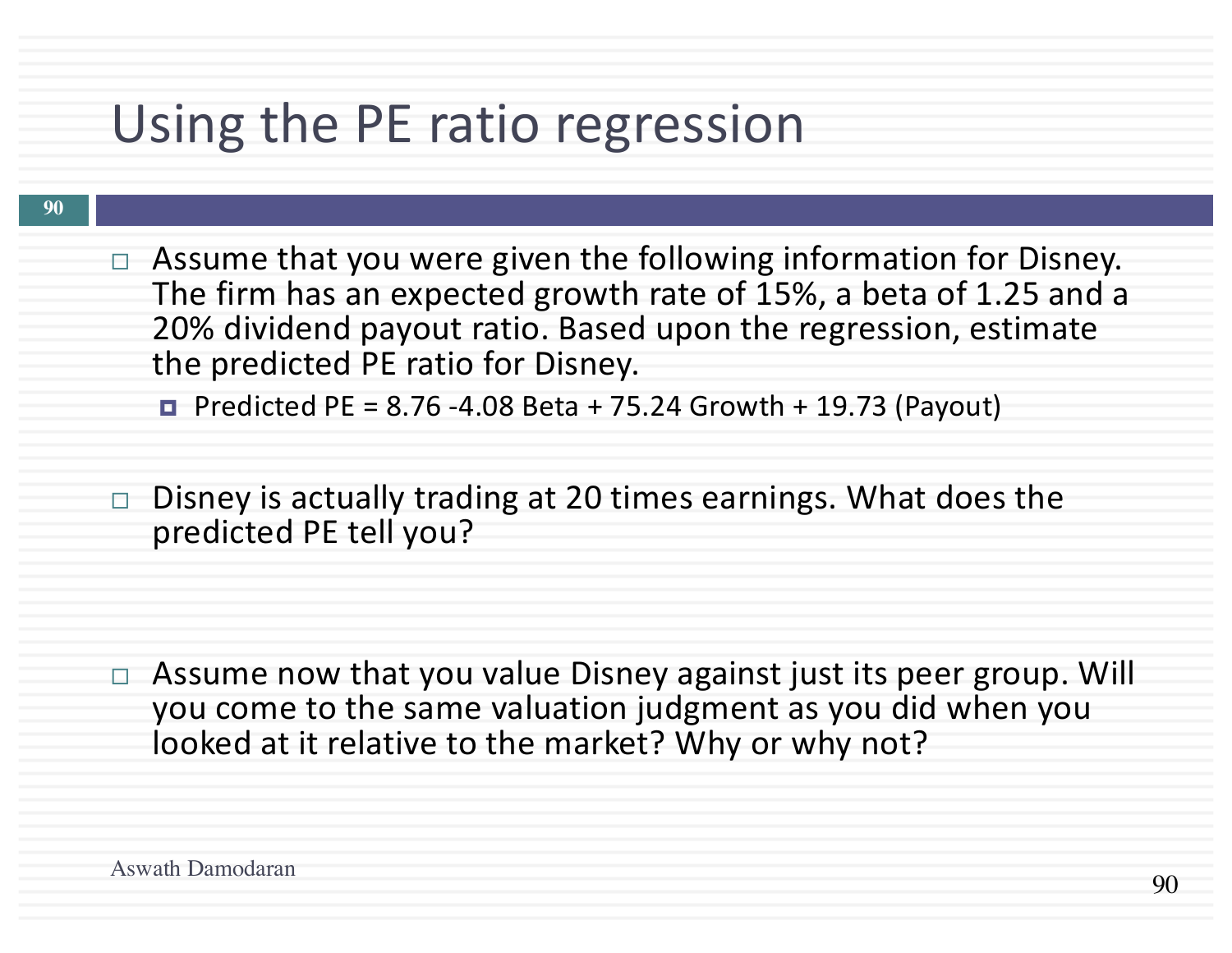# Using the PE ratio regression

#### **90**

 $\Box$  Assume that you were given the following information for Disney. The firm has an expected growth rate of 15%, a beta of 1.25 and a 20% dividend payout ratio. Based upon the regression, estimate the predicted PE ratio for Disney.

 $\blacksquare$  Predicted PE = 8.76 -4.08 Beta + 75.24 Growth + 19.73 (Payout)

 $\Box$  Disney is actually trading at 20 times earnings. What does the predicted PE tell you?

 $\Box$  Assume now that you value Disney against just its peer group. Will you come to the same valuation judgment as you did when you looked at it relative to the market? Why or why not?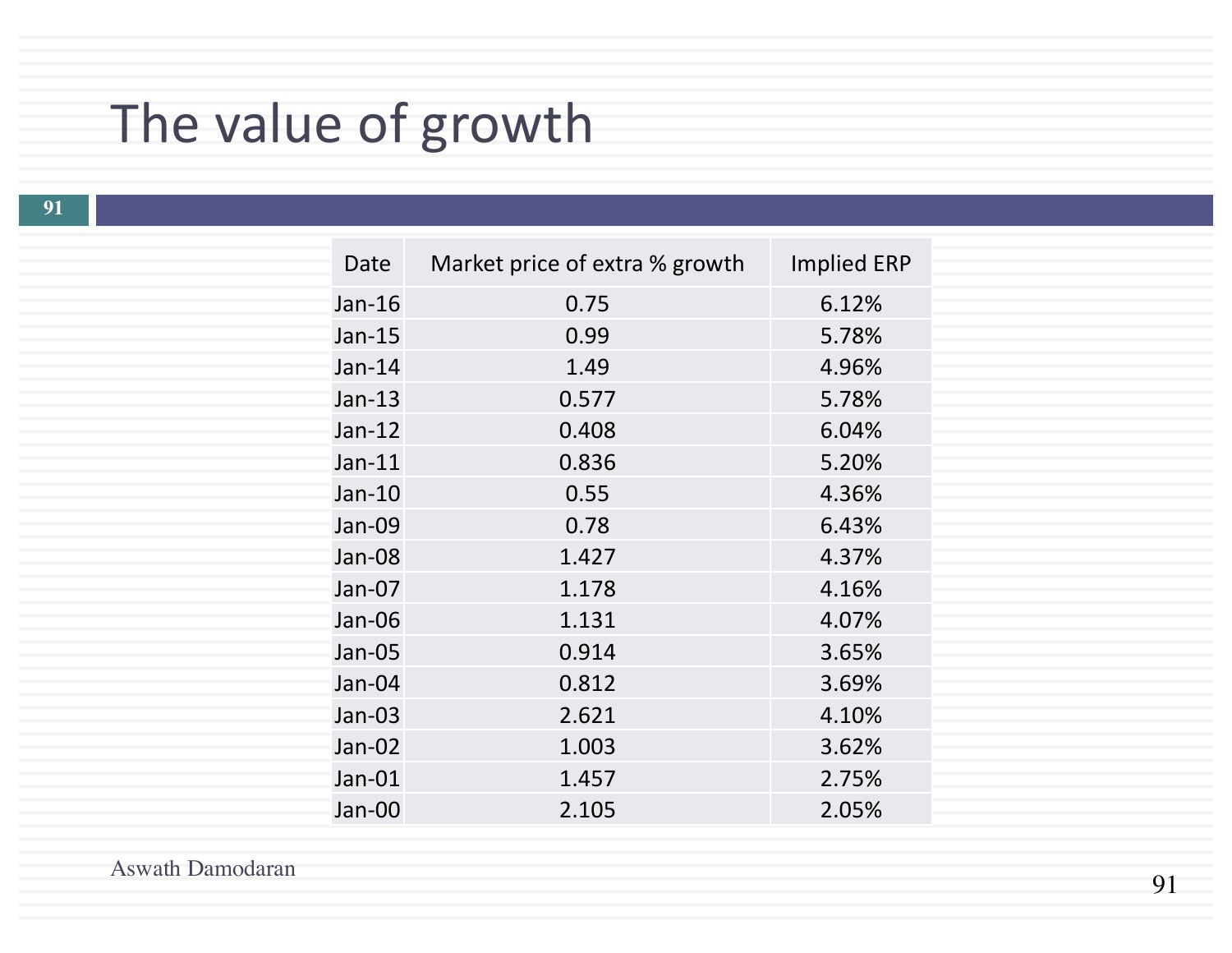# The value of growth

| Date     | Market price of extra % growth | <b>Implied ERP</b> |
|----------|--------------------------------|--------------------|
| $Jan-16$ | 0.75                           | 6.12%              |
| $Jan-15$ | 0.99                           | 5.78%              |
| $Jan-14$ | 1.49                           | 4.96%              |
| $Jan-13$ | 0.577                          | 5.78%              |
| $Jan-12$ | 0.408                          | 6.04%              |
| $Jan-11$ | 0.836                          | 5.20%              |
| $Jan-10$ | 0.55                           | 4.36%              |
| Jan-09   | 0.78                           | 6.43%              |
| Jan-08   | 1.427                          | 4.37%              |
| Jan-07   | 1.178                          | 4.16%              |
| Jan-06   | 1.131                          | 4.07%              |
| Jan-05   | 0.914                          | 3.65%              |
| Jan-04   | 0.812                          | 3.69%              |
| Jan-03   | 2.621                          | 4.10%              |
| Jan-02   | 1.003                          | 3.62%              |
| Jan-01   | 1.457                          | 2.75%              |
| Jan-00   | 2.105                          | 2.05%              |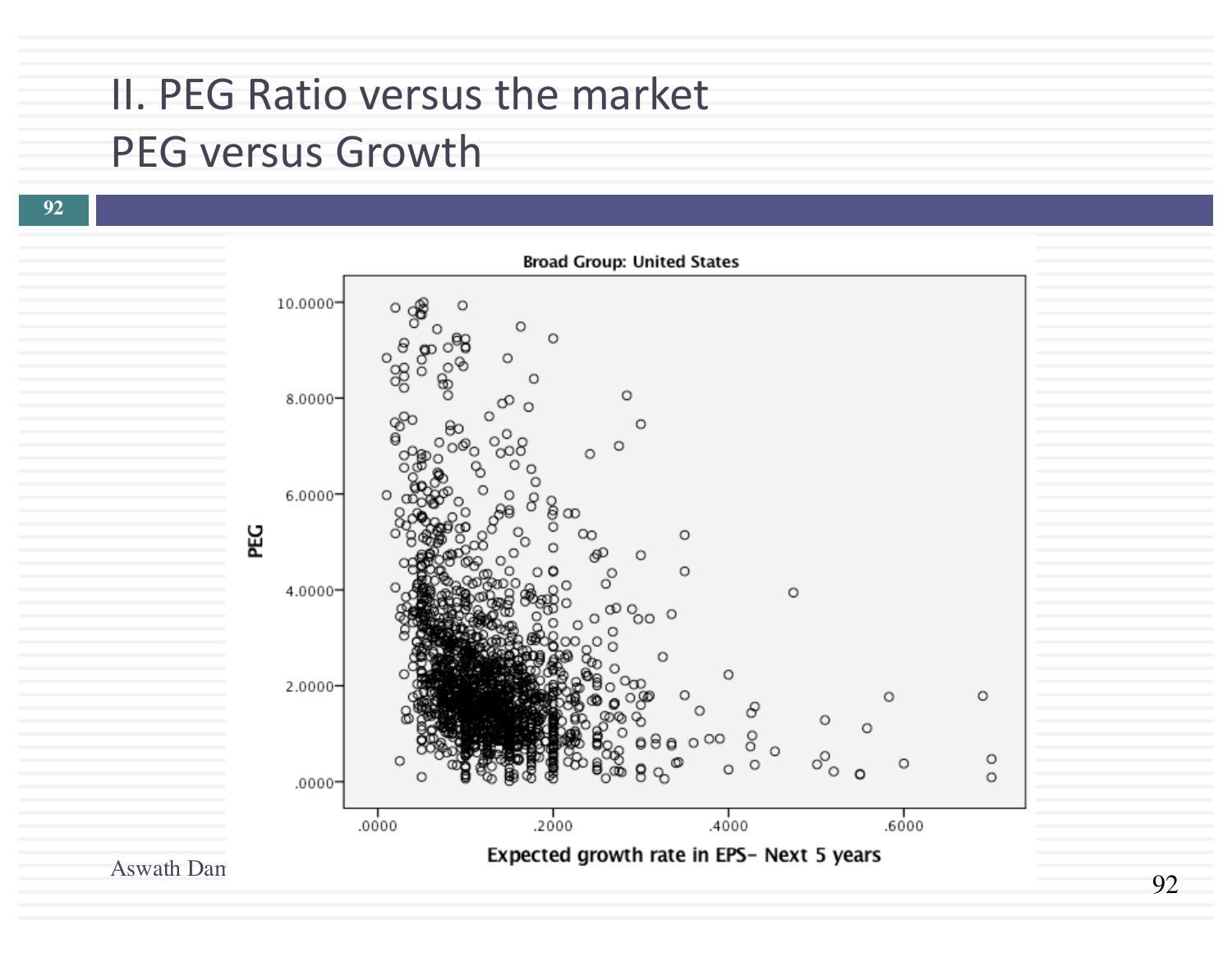#### II. PEG Ratio versus the market PEG versus Growth

**92**

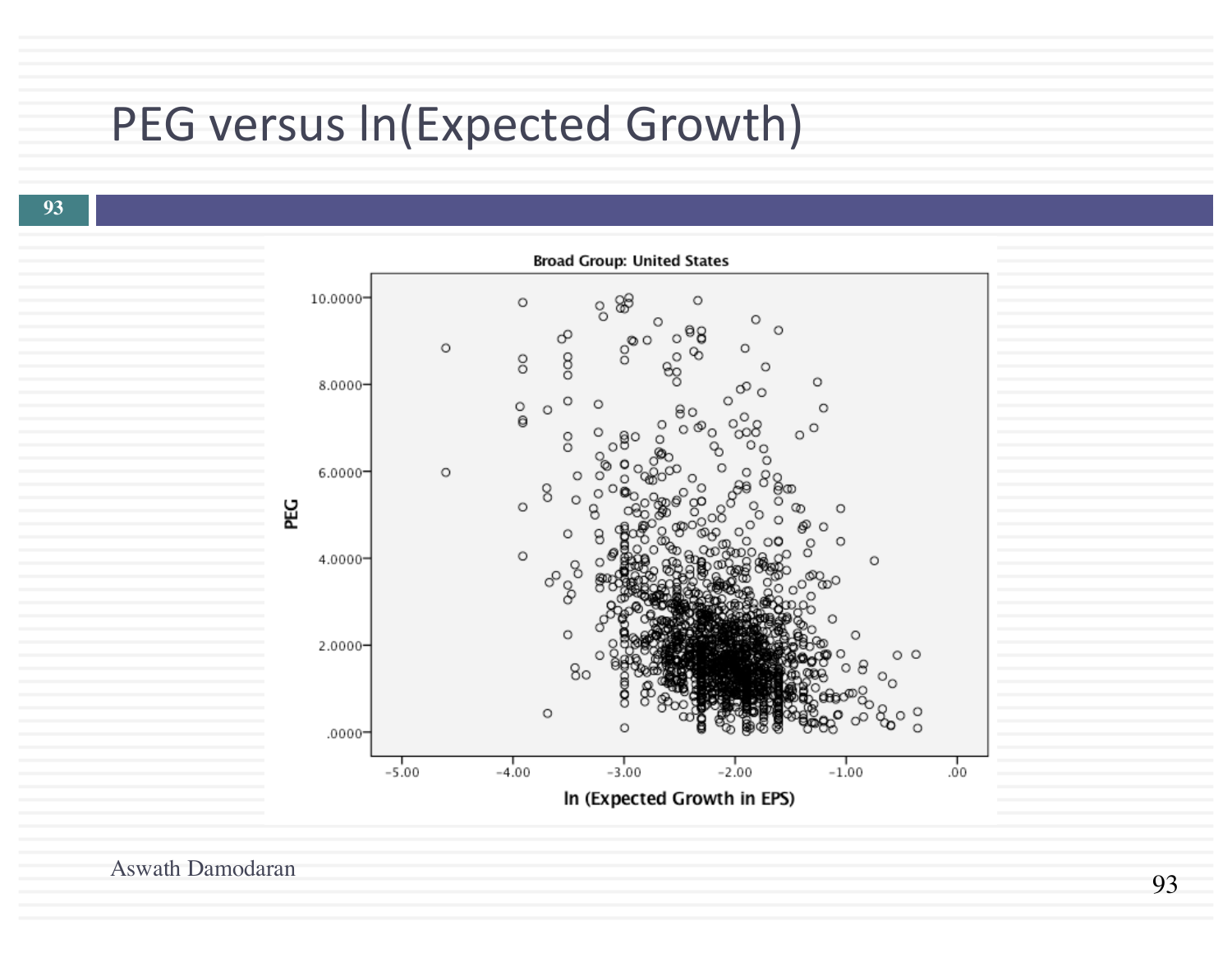### PEG versus  $In(Expected Growth)$

**93**

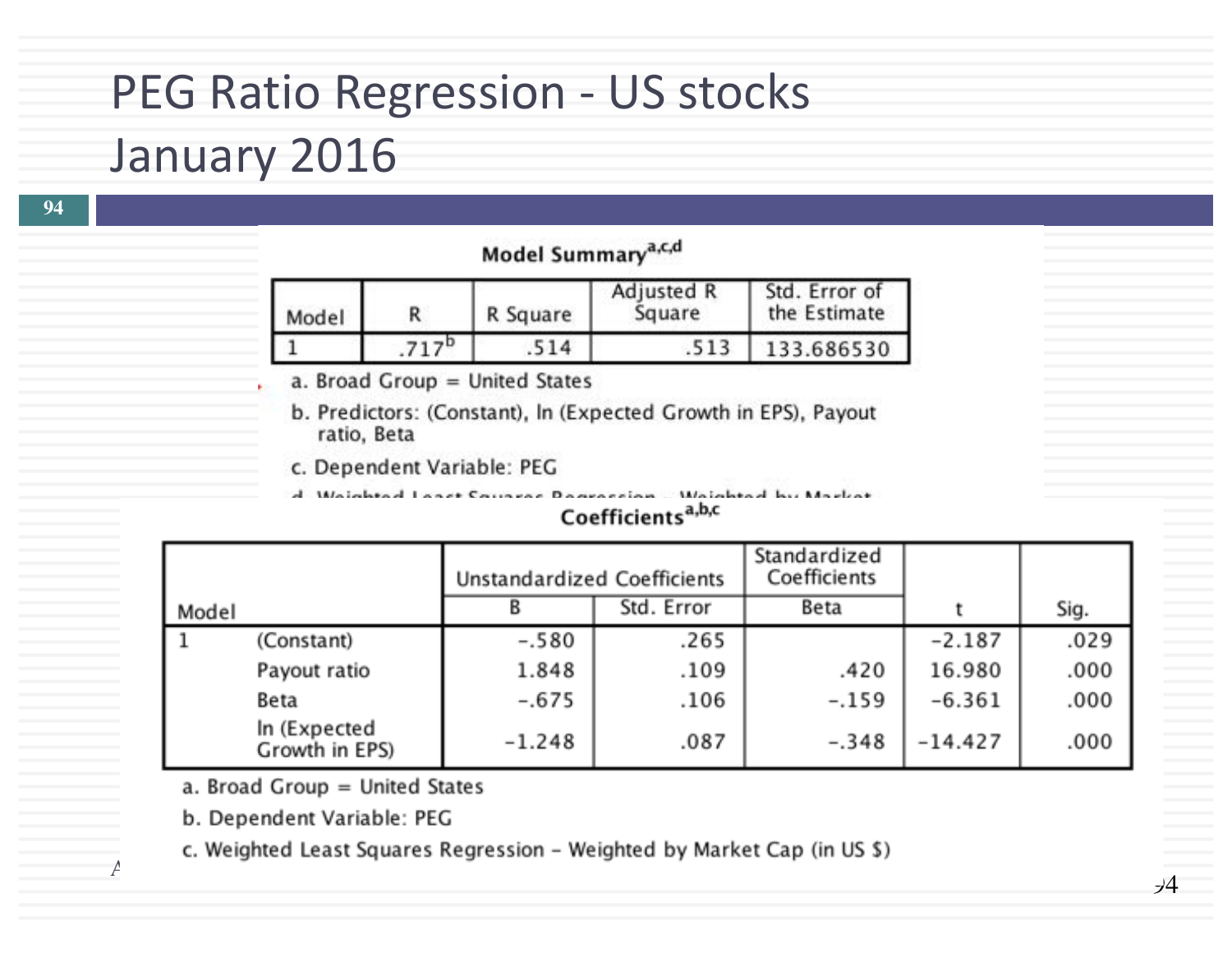### PEG Ratio Regression - US stocks

#### January 2016

**94**

| Model Summary <sup>a,c,c</sup> |  |  |
|--------------------------------|--|--|
|--------------------------------|--|--|

| Model | R Square | Adjusted R<br>Square | Std. Error of<br>the Estimate |
|-------|----------|----------------------|-------------------------------|
|       | 514      |                      | 133.686530                    |

a. Broad Group = United States

b. Predictors: (Constant), In (Expected Growth in EPS), Payout ratio, Beta

c. Dependent Variable: PEG

accession Metabroad but Machael d. Walakeed Longt Counses

#### Coefficients<sup>a,b,c</sup>

|       |                                | Unstandardized Coefficients |            | Standardized<br>Coefficients |           |      |
|-------|--------------------------------|-----------------------------|------------|------------------------------|-----------|------|
| Model |                                |                             | Std. Error | Beta                         |           | Sig. |
|       | (Constant)                     | $-.580$                     | .265       |                              | $-2.187$  | .029 |
|       | Payout ratio                   | 1.848                       | .109       | .420                         | 16.980    | .000 |
|       | Beta                           | $-.675$                     | .106       | $-.159$                      | $-6.361$  | .000 |
|       | In (Expected<br>Growth in EPS) | $-1.248$                    | .087       | $-.348$                      | $-14.427$ | .000 |

a. Broad Group = United States

b. Dependent Variable: PEG

 $\overline{\mathcal{A}}$ 

 $-14$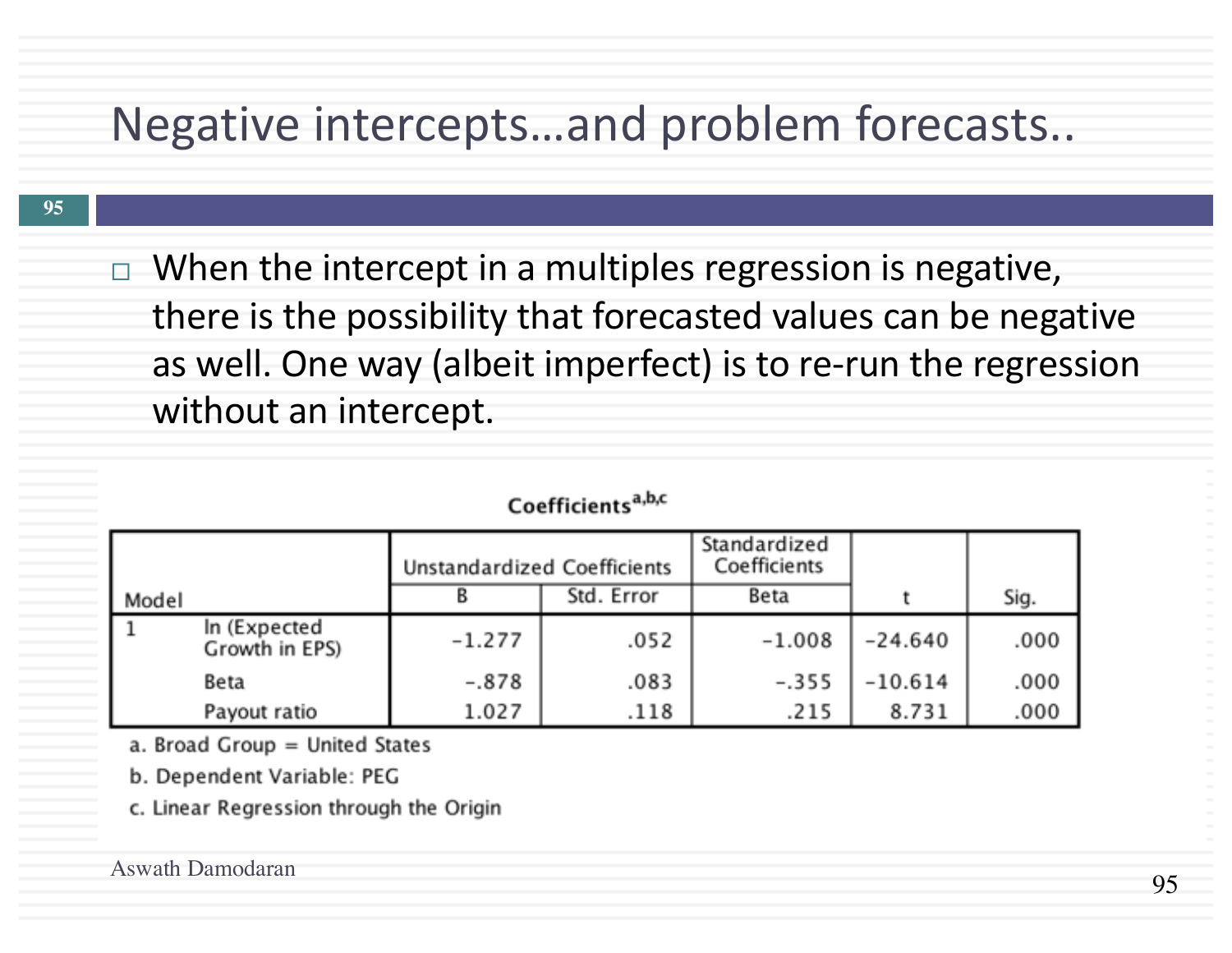### Negative intercepts...and problem forecasts..

 $\Box$  When the intercept in a multiples regression is negative, there is the possibility that forecasted values can be negative as well. One way (albeit imperfect) is to re-run the regression without an intercept.

|       |                                | Unstandardized Coefficients |            | Standardized<br>Coefficients |           |      |
|-------|--------------------------------|-----------------------------|------------|------------------------------|-----------|------|
| Model |                                |                             | Std. Error | Beta                         |           | Sig. |
|       | In (Expected<br>Growth in EPS) | $-1.277$                    | .052       | $-1.008$                     | $-24.640$ | .000 |
|       | Beta                           | $-.878$                     | .083       | $-.355$                      | $-10.614$ | .000 |
|       | Payout ratio                   | 1.027                       | .118       | .215                         | 8.731     | .000 |

#### Coefficients<sup>a,b,c</sup>

a. Broad Group = United States

b. Dependent Variable: PEG

c. Linear Regression through the Origin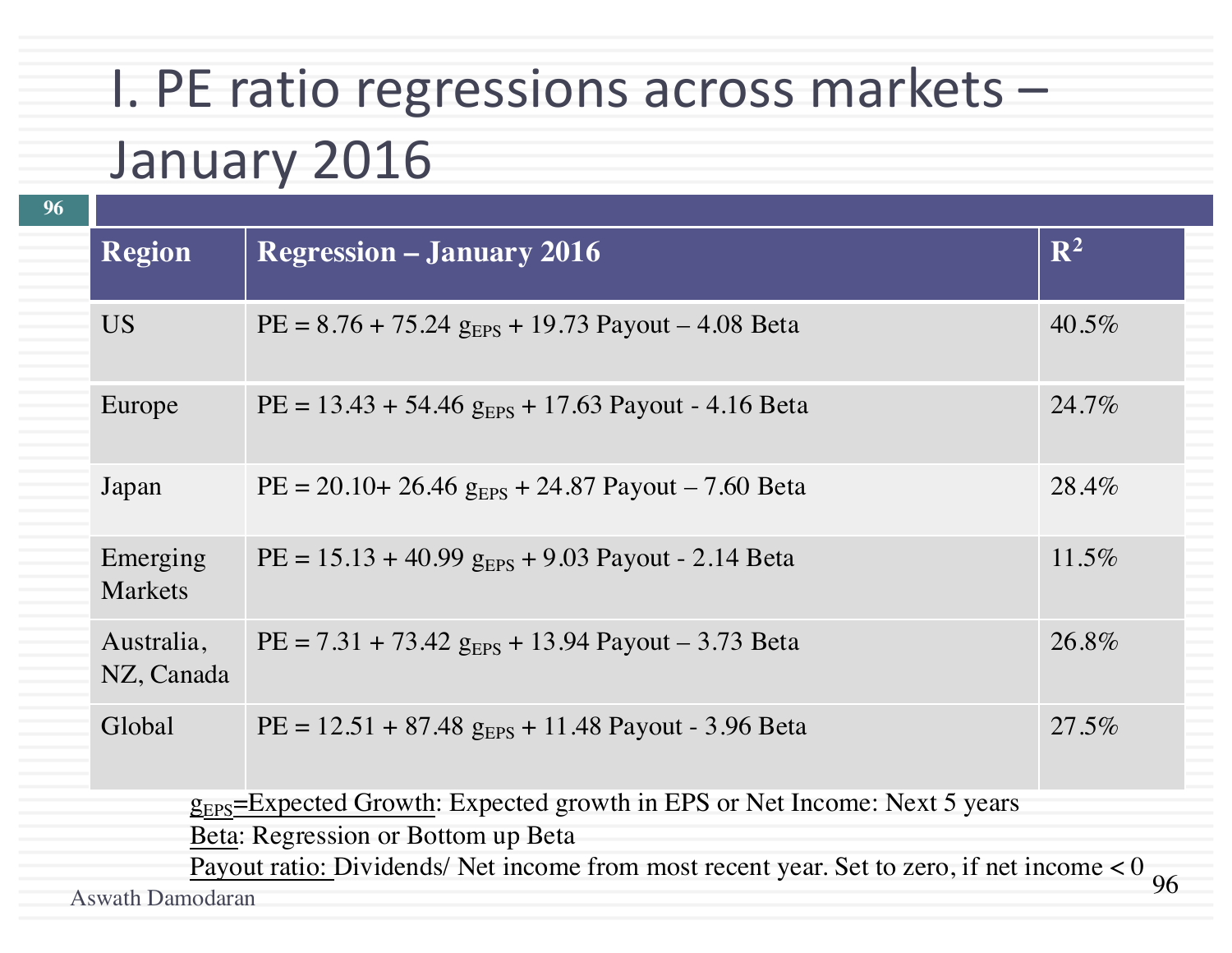# I. PE ratio regressions across markets -January 2016

| 96 |                            |                                                                                                    |                |  |
|----|----------------------------|----------------------------------------------------------------------------------------------------|----------------|--|
|    | <b>Region</b>              | <b>Regression – January 2016</b>                                                                   | $\mathbb{R}^2$ |  |
|    | US <sub>1</sub>            | $PE = 8.76 + 75.24$ g <sub>EPS</sub> + 19.73 Payout - 4.08 Beta                                    | $40.5\%$       |  |
|    | Europe                     | $PE = 13.43 + 54.46$ g <sub>EPS</sub> + 17.63 Payout - 4.16 Beta                                   | 24.7%          |  |
|    | Japan                      | $PE = 20.10 + 26.46 gEPS + 24.87 Payout - 7.60 Beta$                                               | 28.4%          |  |
|    | Emerging<br><b>Markets</b> | $PE = 15.13 + 40.99 gEPS + 9.03 Payout - 2.14 Beta$                                                | $11.5\%$       |  |
|    | Australia,<br>NZ, Canada   | $PE = 7.31 + 73.42$ g <sub>EPS</sub> + 13.94 Payout – 3.73 Beta                                    | 26.8%          |  |
|    | Global                     | $PE = 12.51 + 87.48$ g <sub>EPS</sub> + 11.48 Payout - 3.96 Beta                                   | 27.5%          |  |
|    |                            | g <sub>EPS</sub> =Expected Growth: Expected growth in EPS or Net Income: Next 5 years              |                |  |
|    |                            | Beta: Regression or Bottom up Beta                                                                 |                |  |
|    |                            | <u>Payout ratio:</u> Dividends/ Net income from most recent year. Set to zero, if net income $< 0$ | 96             |  |
|    | <b>Aswath Damodaran</b>    |                                                                                                    |                |  |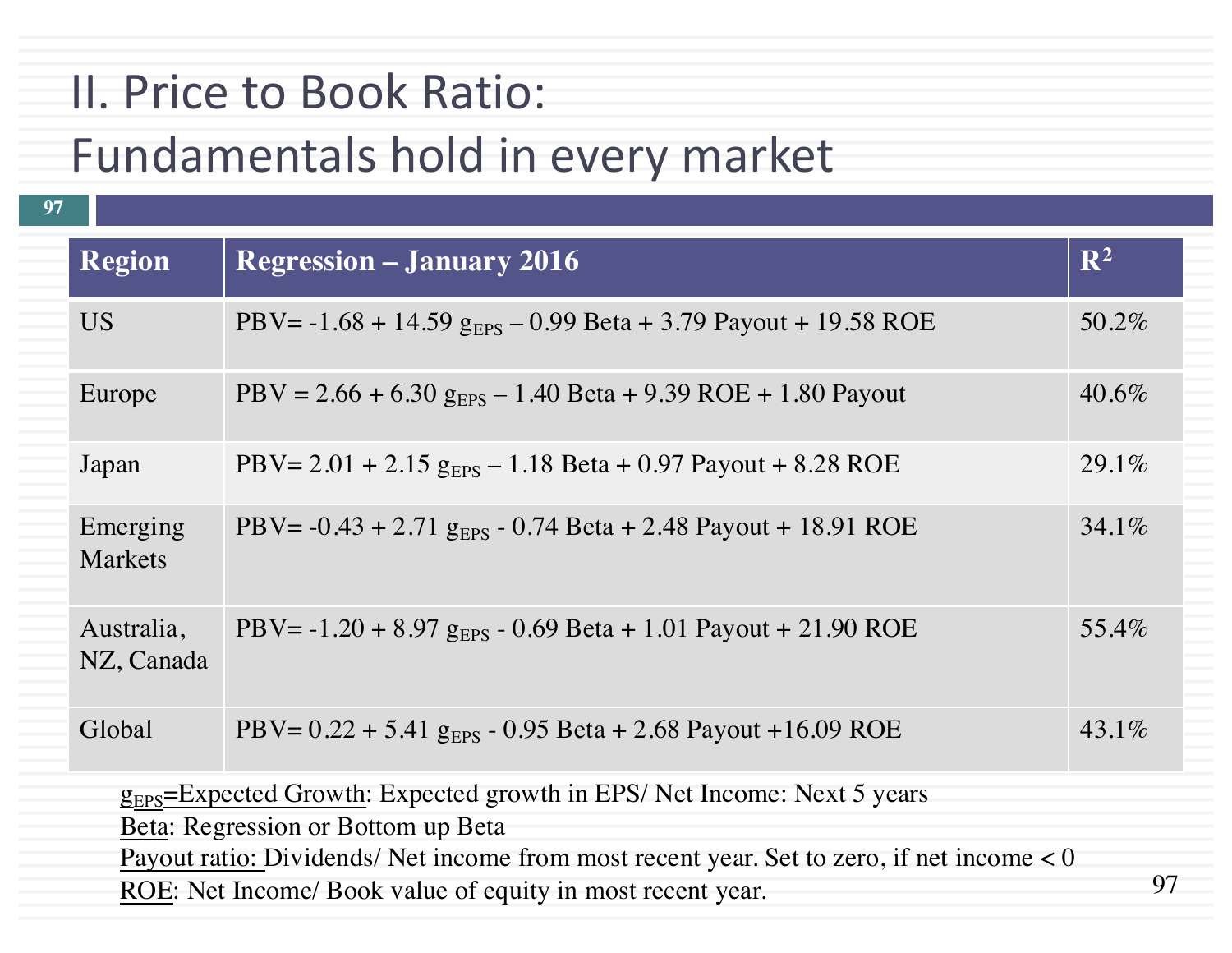### II. Price to Book Ratio:

## Fundamentals hold in every market

| 97 |                            |                                                                                             |                |
|----|----------------------------|---------------------------------------------------------------------------------------------|----------------|
|    | <b>Region</b>              | <b>Regression - January 2016</b>                                                            | $\mathbb{R}^2$ |
|    | <b>US</b>                  | PBV = $-1.68 + 14.59$ g <sub>FPS</sub> $- 0.99$ Beta + 3.79 Payout + 19.58 ROE              | 50.2%          |
|    | Europe                     | $PBV = 2.66 + 6.30 gFPS - 1.40 Beta + 9.39 ROE + 1.80 Payout$                               | 40.6%          |
|    | Japan                      | $PBV = 2.01 + 2.15 gEPS - 1.18 Beta + 0.97 Payout + 8.28 ROE$                               | 29.1%          |
|    | Emerging<br><b>Markets</b> | PBV = $-0.43 + 2.71$ g <sub>EPS</sub> $-0.74$ Beta + 2.48 Payout + 18.91 ROE                | $34.1\%$       |
|    | Australia,<br>NZ, Canada   | PBV = $-1.20 + 8.97$ g <sub>EPS</sub> $- 0.69$ Beta $+ 1.01$ Payout $+ 21.90$ ROE           | 55.4%          |
|    | Global                     | $PBV = 0.22 + 5.41$ g <sub>EPS</sub> - 0.95 Beta + 2.68 Payout +16.09 ROE                   | $43.1\%$       |
|    |                            | $gEPS=Expected Growth: Expected growth in EPS/Net Income: Next 5 years$                     |                |
|    |                            | Beta: Regression or Bottom up Beta                                                          |                |
|    |                            | Payout ratio: Dividends/ Net income from most recent year. Set to zero, if net income $< 0$ |                |
|    |                            | ROE: Net Income/ Book value of equity in most recent year.                                  | 97             |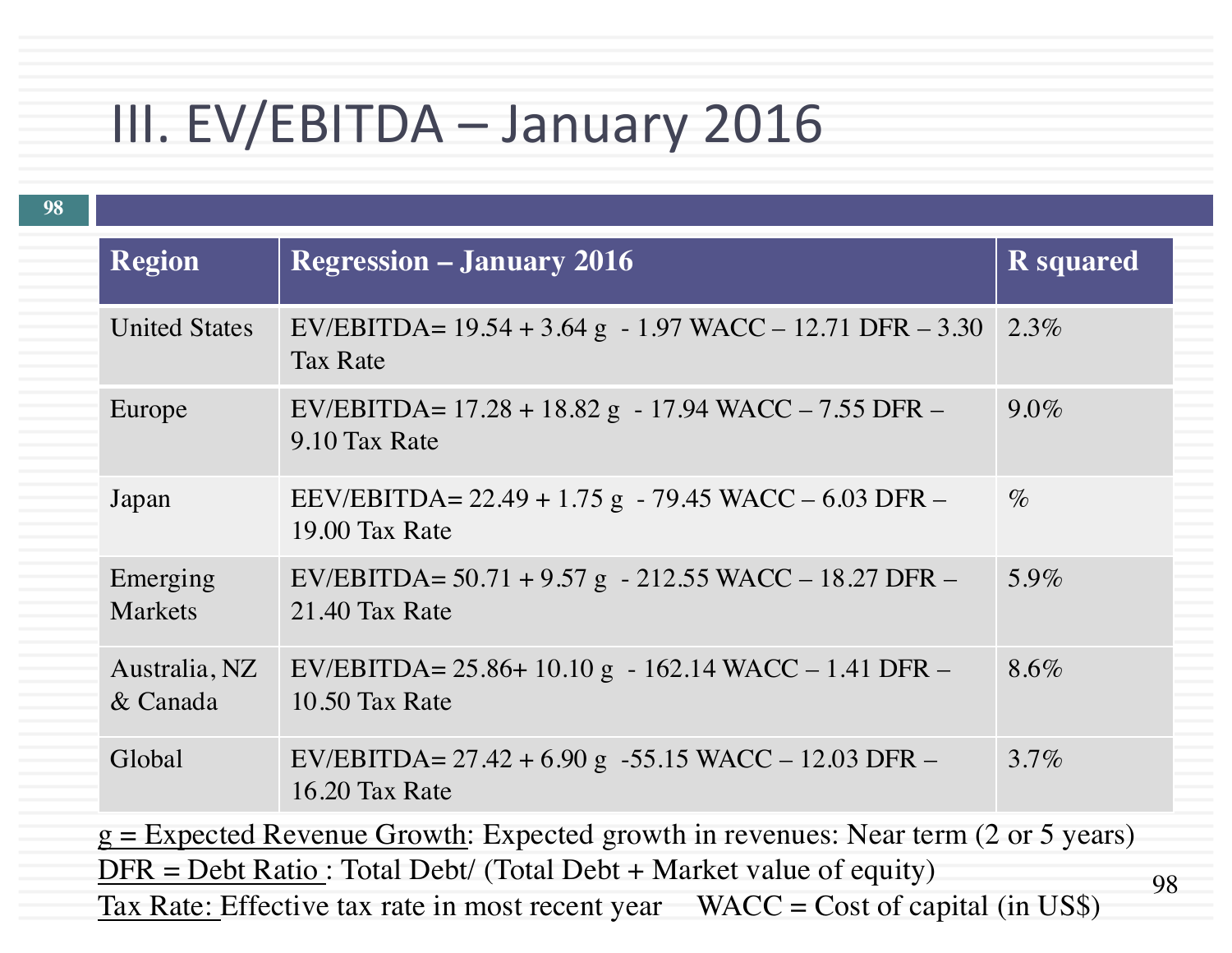# III. EV/EBITDA - January 2016

| <b>Region</b>              |                                                                               |                  |
|----------------------------|-------------------------------------------------------------------------------|------------------|
|                            | <b>Regression – January 2016</b>                                              | <b>R</b> squared |
| <b>United States</b>       | EV/EBITDA= $19.54 + 3.64$ g - 1.97 WACC - 12.71 DFR - 3.30<br><b>Tax Rate</b> | 2.3%             |
| Europe                     | EV/EBITDA= $17.28 + 18.82$ g - $17.94$ WACC - $7.55$ DFR -<br>9.10 Tax Rate   | $9.0\%$          |
| Japan                      | EEV/EBITDA= $22.49 + 1.75$ g - 79.45 WACC – 6.03 DFR –<br>19.00 Tax Rate      | $\%$             |
| Emerging<br><b>Markets</b> | EV/EBITDA= $50.71 + 9.57$ g - 212.55 WACC - 18.27 DFR -<br>21.40 Tax Rate     | 5.9%             |
| Australia, NZ<br>& Canada  | EV/EBITDA= $25.86+10.10$ g - 162.14 WACC - 1.41 DFR -<br>10.50 Tax Rate       | 8.6%             |
| Global                     | EV/EBITDA= $27.42 + 6.90$ g $-55.15$ WACC $- 12.03$ DFR $-$<br>16.20 Tax Rate | $3.7\%$          |